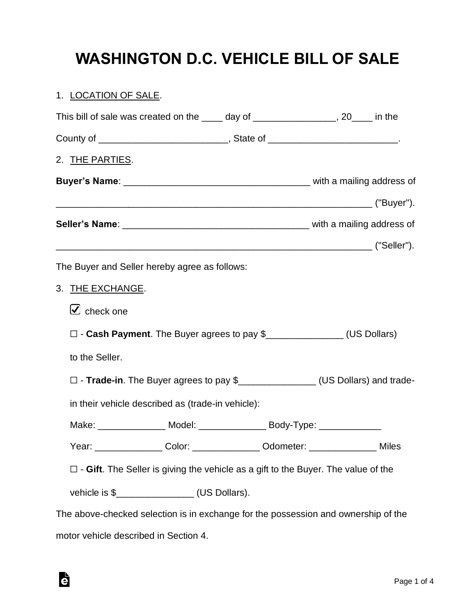# **WASHINGTON D.C. VEHICLE BILL OF SALE**

### 1. LOCATION OF SALE.

Ġ

| This bill of sale was created on the _____ day of ________________, 20____ in the                                                |  |
|----------------------------------------------------------------------------------------------------------------------------------|--|
|                                                                                                                                  |  |
| 2. THE PARTIES.                                                                                                                  |  |
|                                                                                                                                  |  |
|                                                                                                                                  |  |
|                                                                                                                                  |  |
|                                                                                                                                  |  |
| The Buyer and Seller hereby agree as follows:                                                                                    |  |
| 3. THE EXCHANGE.                                                                                                                 |  |
| $\cup$ check one                                                                                                                 |  |
| □ - Cash Payment. The Buyer agrees to pay \$<br>□ - Cash Payment. The Buyer agrees to pay \$<br>□                                |  |
| to the Seller.                                                                                                                   |  |
| □ - Trade-in. The Buyer agrees to pay \$<br>□ - Trade-in. The Buyer agrees to pay \$<br>□ - Trade-in. The Buyer agrees to pay \$ |  |
| in their vehicle described as (trade-in vehicle):                                                                                |  |
| Make: ________________ Model: _______________ Body-Type: ______________                                                          |  |
| Year: __________________Color: _________________Odometer: _____________________Miles                                             |  |
| $\square$ - Gift. The Seller is giving the vehicle as a gift to the Buyer. The value of the                                      |  |
| vehicle is \$_________________(US Dollars).                                                                                      |  |
| The above-checked selection is in exchange for the possession and ownership of the                                               |  |
| motor vehicle described in Section 4.                                                                                            |  |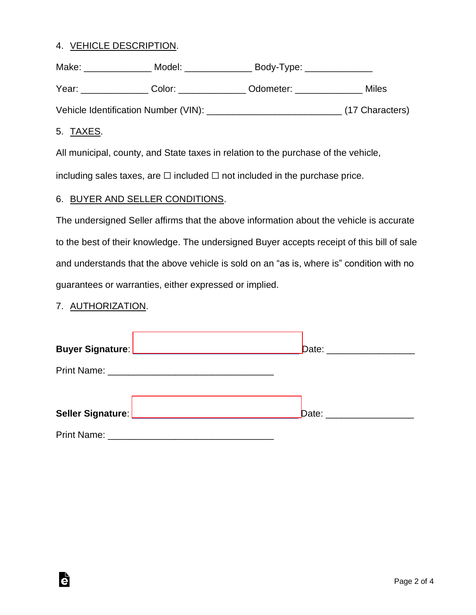#### 4. VEHICLE DESCRIPTION.

| Make: | Model:                               | Body-Type: |                 |
|-------|--------------------------------------|------------|-----------------|
| Year: | Color:                               | Odometer:  | Miles           |
|       | Vehicle Identification Number (VIN): |            | (17 Characters) |

#### 5. TAXES.

All municipal, county, and State taxes in relation to the purchase of the vehicle,

including sales taxes, are  $\Box$  included  $\Box$  not included in the purchase price.

#### 6. BUYER AND SELLER CONDITIONS.

The undersigned Seller affirms that the above information about the vehicle is accurate to the best of their knowledge. The undersigned Buyer accepts receipt of this bill of sale and understands that the above vehicle is sold on an "as is, where is" condition with no guarantees or warranties, either expressed or implied.

#### 7. AUTHORIZATION.

Ġ

| Date: _____________________ |
|-----------------------------|
|                             |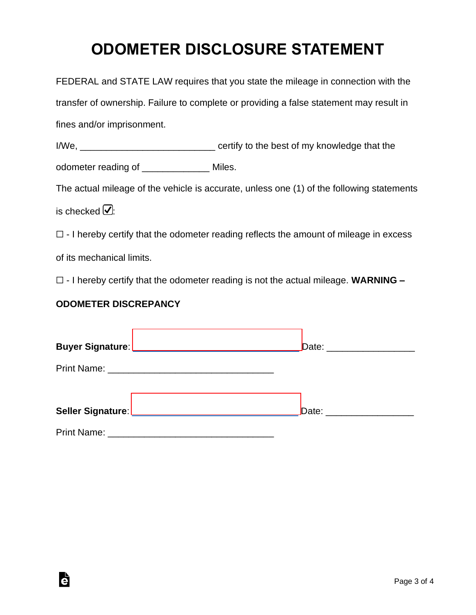# **ODOMETER DISCLOSURE STATEMENT**

| FEDERAL and STATE LAW requires that you state the mileage in connection with the             |  |  |  |  |
|----------------------------------------------------------------------------------------------|--|--|--|--|
| transfer of ownership. Failure to complete or providing a false statement may result in      |  |  |  |  |
| fines and/or imprisonment.                                                                   |  |  |  |  |
|                                                                                              |  |  |  |  |
| odometer reading of ________________ Miles.                                                  |  |  |  |  |
| The actual mileage of the vehicle is accurate, unless one (1) of the following statements    |  |  |  |  |
| is checked $\boxed{\mathcal{Q}}$ :                                                           |  |  |  |  |
| $\Box$ - I hereby certify that the odometer reading reflects the amount of mileage in excess |  |  |  |  |
| of its mechanical limits.                                                                    |  |  |  |  |
| $\Box$ - I hereby certify that the odometer reading is not the actual mileage. WARNING $-$   |  |  |  |  |
| <b>ODOMETER DISCREPANCY</b>                                                                  |  |  |  |  |
|                                                                                              |  |  |  |  |
|                                                                                              |  |  |  |  |
|                                                                                              |  |  |  |  |
|                                                                                              |  |  |  |  |
|                                                                                              |  |  |  |  |

Print Name: \_\_\_\_\_\_\_\_\_\_\_\_\_\_\_\_\_\_\_\_\_\_\_\_\_\_\_\_\_\_\_\_

è